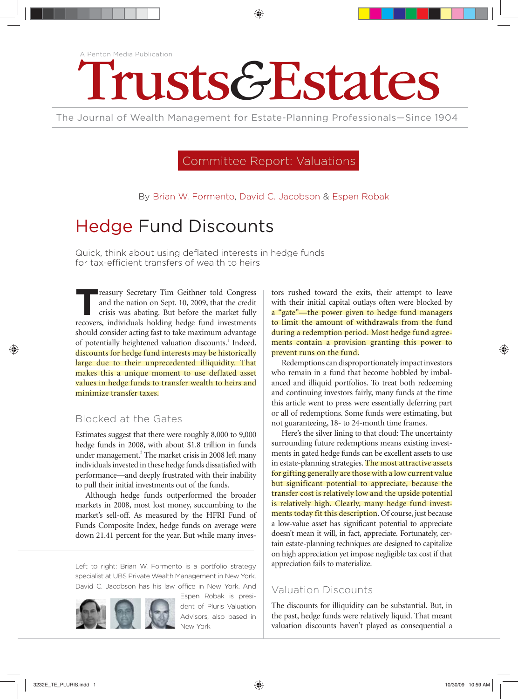# A Penton Media Publication Trusts&Estates

The Journal of Wealth Management for Estate-Planning Professionals—Since 1904

# Committee Report: Valuations

By Brian W. Formento, David C. Jacobson & Espen Robak

# Hedge Fund Discounts

Quick, think about using deflated interests in hedge funds for tax-efficient transfers of wealth to heirs

**T**reasury Secretary Tim Geithner told Congress and the nation on Sept. 10, 2009, that the credit crisis was abating. But before the market fully recovers, individuals holding hedge fund investments should consider acting fast to take maximum advantage of potentially heightened valuation discounts.<sup>1</sup> Indeed, discounts for hedge fund interests may be historically large due to their unprecedented illiquidity. That makes this a unique moment to use deflated asset values in hedge funds to transfer wealth to heirs and minimize transfer taxes.

### Blocked at the Gates

Estimates suggest that there were roughly 8,000 to 9,000 hedge funds in 2008, with about \$1.8 trillion in funds under management.<sup>2</sup> The market crisis in 2008 left many individuals invested in these hedge funds dissatisfied with performance—and deeply frustrated with their inability to pull their initial investments out of the funds.

Although hedge funds outperformed the broader markets in 2008, most lost money, succumbing to the market's sell-off. As measured by the HFRI Fund of Funds Composite Index, hedge funds on average were down 21.41 percent for the year. But while many inves-

Left to right: Brian W. Formento is a portfolio strategy specialist at UBS Private Wealth Management in New York. David C. Jacobson has his law office in New York. And



Espen Robak is president of Pluris Valuation Advisors, also based in New York

tors rushed toward the exits, their attempt to leave with their initial capital outlays often were blocked by a "gate"—the power given to hedge fund managers to limit the amount of withdrawals from the fund during a redemption period. Most hedge fund agreements contain a provision granting this power to prevent runs on the fund.

Redemptions can disproportionately impact investors who remain in a fund that become hobbled by imbalanced and illiquid portfolios. To treat both redeeming and continuing investors fairly, many funds at the time this article went to press were essentially deferring part or all of redemptions. Some funds were estimating, but not guaranteeing, 18- to 24-month time frames.

Here's the silver lining to that cloud: The uncertainty surrounding future redemptions means existing investments in gated hedge funds can be excellent assets to use in estate-planning strategies. The most attractive assets for gifting generally are those with a low current value but significant potential to appreciate, because the transfer cost is relatively low and the upside potential is relatively high. Clearly, many hedge fund investments today fit this description. Of course, just because a low-value asset has significant potential to appreciate doesn't mean it will, in fact, appreciate. Fortunately, certain estate-planning techniques are designed to capitalize on high appreciation yet impose negligible tax cost if that appreciation fails to materialize.

## Valuation Discounts

The discounts for illiquidity can be substantial. But, in the past, hedge funds were relatively liquid. That meant valuation discounts haven't played as consequential a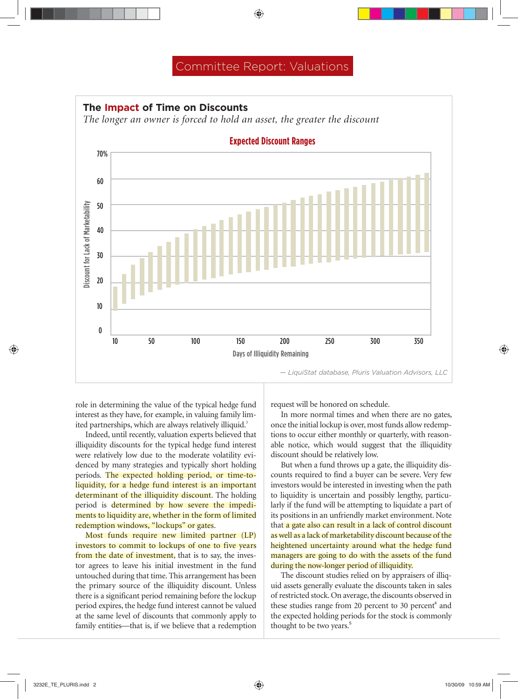# Committee Report: Valuations



role in determining the value of the typical hedge fund interest as they have, for example, in valuing family limited partnerships, which are always relatively illiquid.<sup>3</sup>

Indeed, until recently, valuation experts believed that illiquidity discounts for the typical hedge fund interest were relatively low due to the moderate volatility evidenced by many strategies and typically short holding periods. The expected holding period, or time-toliquidity, for a hedge fund interest is an important determinant of the illiquidity discount. The holding period is determined by how severe the impediments to liquidity are, whether in the form of limited redemption windows, "lockups" or gates.

Most funds require new limited partner (LP) investors to commit to lockups of one to five years from the date of investment, that is to say, the investor agrees to leave his initial investment in the fund untouched during that time. This arrangement has been the primary source of the illiquidity discount. Unless there is a significant period remaining before the lockup period expires, the hedge fund interest cannot be valued at the same level of discounts that commonly apply to family entities—that is, if we believe that a redemption request will be honored on schedule.

In more normal times and when there are no gates, once the initial lockup is over, most funds allow redemptions to occur either monthly or quarterly, with reasonable notice, which would suggest that the illiquidity discount should be relatively low.

But when a fund throws up a gate, the illiquidity discounts required to find a buyer can be severe. Very few investors would be interested in investing when the path to liquidity is uncertain and possibly lengthy, particularly if the fund will be attempting to liquidate a part of its positions in an unfriendly market environment. Note that a gate also can result in a lack of control discount as well as a lack of marketability discount because of the heightened uncertainty around what the hedge fund managers are going to do with the assets of the fund during the now-longer period of illiquidity.

The discount studies relied on by appraisers of illiquid assets generally evaluate the discounts taken in sales of restricted stock. On average, the discounts observed in these studies range from 20 percent to 30 percent<sup>4</sup> and the expected holding periods for the stock is commonly thought to be two years.<sup>5</sup>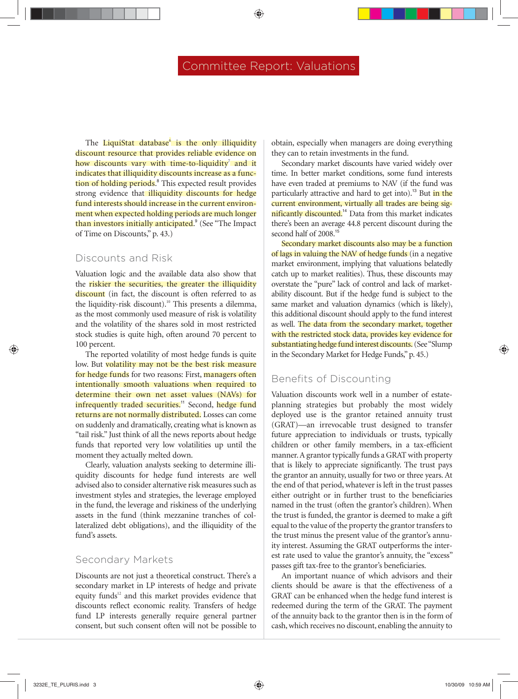The LiquiStat database<sup>6</sup> is the only illiquidity discount resource that provides reliable evidence on how discounts vary with time-to-liquidity<sup>7</sup> and it indicates that illiquidity discounts increase as a function of holding periods.<sup>8</sup> This expected result provides strong evidence that illiquidity discounts for hedge fund interests should increase in the current environment when expected holding periods are much longer than investors initially anticipated.<sup>9</sup> (See "The Impact of Time on Discounts," p. 43.)

#### Discounts and Risk

Valuation logic and the available data also show that the riskier the securities, the greater the illiquidity discount (in fact, the discount is often referred to as the liquidity-risk discount).<sup>10</sup> This presents a dilemma, as the most commonly used measure of risk is volatility and the volatility of the shares sold in most restricted stock studies is quite high, often around 70 percent to 100 percent.

The reported volatility of most hedge funds is quite low. But volatility may not be the best risk measure for hedge funds for two reasons: First, managers often intentionally smooth valuations when required to determine their own net asset values (NAVs) for infrequently traded securities.<sup>11</sup> Second, hedge fund returns are not normally distributed. Losses can come on suddenly and dramatically, creating what is known as "tail risk." Just think of all the news reports about hedge funds that reported very low volatilities up until the moment they actually melted down.

Clearly, valuation analysts seeking to determine illiquidity discounts for hedge fund interests are well advised also to consider alternative risk measures such as investment styles and strategies, the leverage employed in the fund, the leverage and riskiness of the underlying assets in the fund (think mezzanine tranches of collateralized debt obligations), and the illiquidity of the fund's assets.

#### Secondary Markets

Discounts are not just a theoretical construct. There's a secondary market in LP interests of hedge and private equity funds<sup>12</sup> and this market provides evidence that discounts reflect economic reality. Transfers of hedge fund LP interests generally require general partner consent, but such consent often will not be possible to

obtain, especially when managers are doing everything they can to retain investments in the fund.

Secondary market discounts have varied widely over time. In better market conditions, some fund interests have even traded at premiums to NAV (if the fund was particularly attractive and hard to get into).<sup>13</sup> But *in the* current environment, virtually all trades are being significantly discounted.<sup>14</sup> Data from this market indicates there's been an average 44.8 percent discount during the second half of 2008.<sup>15</sup>

Secondary market discounts also may be a function of lags in valuing the NAV of hedge funds (in a negative market environment, implying that valuations belatedly catch up to market realities). Thus, these discounts may overstate the "pure" lack of control and lack of marketability discount. But if the hedge fund is subject to the same market and valuation dynamics (which is likely), this additional discount should apply to the fund interest as well. The data from the secondary market, together with the restricted stock data, provides key evidence for substantiating hedge fund interest discounts. (See "Slump in the Secondary Market for Hedge Funds," p. 45.)

#### Benefits of Discounting

Valuation discounts work well in a number of estateplanning strategies but probably the most widely deployed use is the grantor retained annuity trust (GRAT)—an irrevocable trust designed to transfer future appreciation to individuals or trusts, typically children or other family members, in a tax-efficient manner. A grantor typically funds a GRAT with property that is likely to appreciate significantly. The trust pays the grantor an annuity, usually for two or three years. At the end of that period, whatever is left in the trust passes either outright or in further trust to the beneficiaries named in the trust (often the grantor's children). When the trust is funded, the grantor is deemed to make a gift equal to the value of the property the grantor transfers to the trust minus the present value of the grantor's annuity interest. Assuming the GRAT outperforms the interest rate used to value the grantor's annuity, the "excess" passes gift tax-free to the grantor's beneficiaries.

An important nuance of which advisors and their clients should be aware is that the effectiveness of a GRAT can be enhanced when the hedge fund interest is redeemed during the term of the GRAT. The payment of the annuity back to the grantor then is in the form of cash, which receives no discount, enabling the annuity to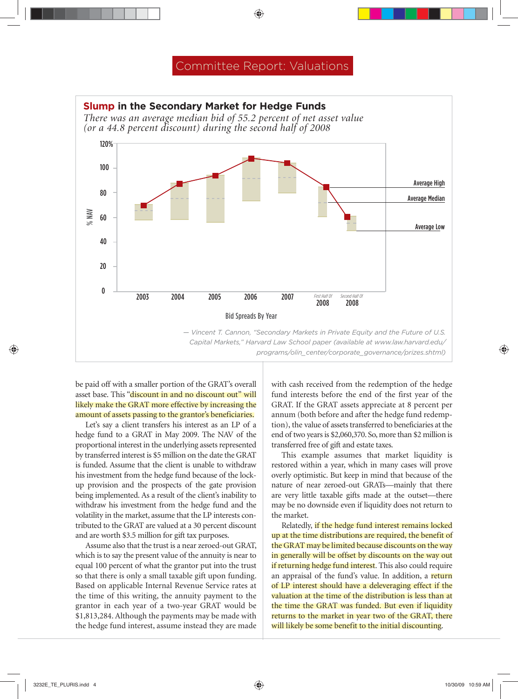

be paid off with a smaller portion of the GRAT's overall asset base. This "discount in and no discount out" will likely make the GRAT more effective by increasing the amount of assets passing to the grantor's beneficiaries.

Let's say a client transfers his interest as an LP of a hedge fund to a GRAT in May 2009. The NAV of the proportional interest in the underlying assets represented by transferred interest is \$5 million on the date the GRAT is funded. Assume that the client is unable to withdraw his investment from the hedge fund because of the lockup provision and the prospects of the gate provision being implemented. As a result of the client's inability to withdraw his investment from the hedge fund and the volatility in the market, assume that the LP interests contributed to the GRAT are valued at a 30 percent discount and are worth \$3.5 million for gift tax purposes.

Assume also that the trust is a near zeroed-out GRAT, which is to say the present value of the annuity is near to equal 100 percent of what the grantor put into the trust so that there is only a small taxable gift upon funding. Based on applicable Internal Revenue Service rates at the time of this writing, the annuity payment to the grantor in each year of a two-year GRAT would be \$1,813,284. Although the payments may be made with the hedge fund interest, assume instead they are made with cash received from the redemption of the hedge fund interests before the end of the first year of the GRAT. If the GRAT assets appreciate at 8 percent per annum (both before and after the hedge fund redemption), the value of assets transferred to beneficiaries at the end of two years is \$2,060,370. So, more than \$2 million is transferred free of gift and estate taxes.

This example assumes that market liquidity is restored within a year, which in many cases will prove overly optimistic. But keep in mind that because of the nature of near zeroed-out GRATs—mainly that there are very little taxable gifts made at the outset—there may be no downside even if liquidity does not return to the market.

Relatedly, if the hedge fund interest remains locked up at the time distributions are required, the benefit of the GRAT may be limited because discounts on the way in generally will be offset by discounts on the way out if returning hedge fund interest. This also could require an appraisal of the fund's value. In addition, a return of LP interest should have a deleveraging effect if the valuation at the time of the distribution is less than at the time the GRAT was funded. But even if liquidity returns to the market in year two of the GRAT, there will likely be some benefit to the initial discounting.